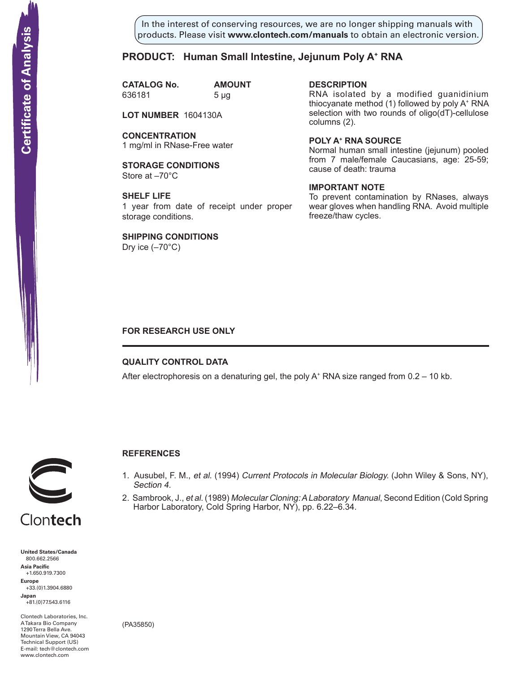In the interest of conserving resources, we are no longer shipping manuals with products. Please visit **www.clontech.com/manuals** to obtain an electronic version.

## **PRODUCT: Human Small Intestine, Jejunum Poly A+ RNA**

**CATALOG No. AMOUNT** 636181 5 µg

**LOT NUMBER** 1604130A

**CONCENTRATION** 1 mg/ml in RNase-Free water

**STORAGE CONDITIONS** Store at –70°C

**SHELF LIFE** 1 year from date of receipt under proper storage conditions.

**SHIPPING CONDITIONS**

Dry ice  $(-70^{\circ}C)$ 

**description**

RNA isolated by a modified guanidinium thiocyanate method (1) followed by poly A+ RNA selection with two rounds of oligo(dT)-cellulose columns (2).

**Poly a+ RNA source**

Normal human small intestine (jejunum) pooled from 7 male/female Caucasians, age: 25-59; cause of death: trauma

### **IMPORTANT NOTE**

To prevent contamination by RNases, always wear gloves when handling RNA. Avoid multiple freeze/thaw cycles.

### **FOR RESEARCH USE ONLY**

### **QUALITY CONTROL DATA**

After electrophoresis on a denaturing gel, the poly  $A^+$  RNA size ranged from 0.2 – 10 kb.



# **References**

- 1. Ausubel, F. M., et al. (1994) Current Protocols in Molecular Biology. (John Wiley & Sons, NY), Section 4.
- 2. Sambrook, J., et al. (1989) Molecular Cloning: A Laboratory Manual, Second Edition (Cold Spring Harbor Laboratory, Cold Spring Harbor, NY), pp. 6.22–6.34.

**United States/Canada** 800.662.2566 **Asia Pacific** +1.650.919.7300 **Europe** +33.(0)1.3904.6880 **Japan** +81.(0)77.543.6116 **Solution Control Control Control Control Control Control Control Control Control Control Control Control Control Control Control Control Control Control Control Control Control Control Control Control Control Control Cont** 

Clontech Laboratories, Inc. A Takara Bio Company 1290 Terra Bella Ave. Mountain View, CA 94043 Technical Support (US) E-mail: tech@clontech.com

(PA35850)